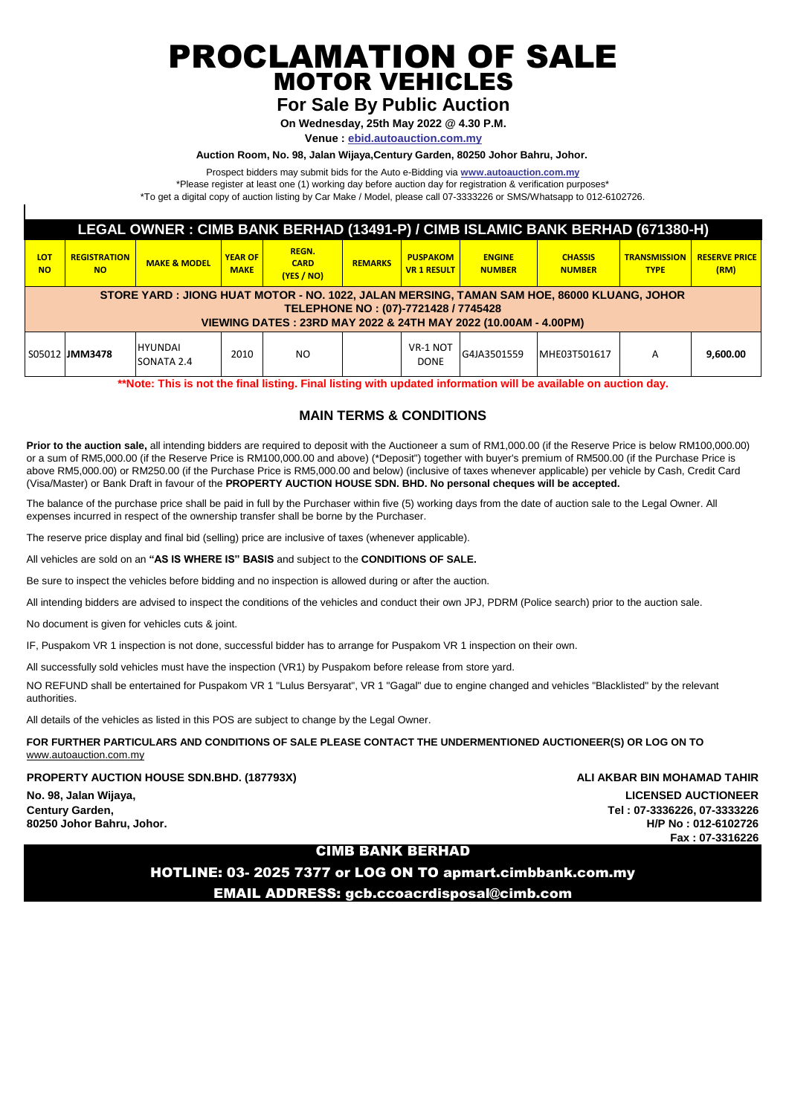PROCLAMATION OF SALE MOTOR VEHICLES

# **For Sale By Public Auction**

**On Wednesday, 25th May 2022 @ 4.30 P.M.**

**Venue : ebid.autoauction.com.my**

#### **Auction Room, No. 98, Jalan Wijaya,Century Garden, 80250 Johor Bahru, Johor.**

Prospect bidders may submit bids for the Auto e-Bidding via **www.autoauction.com.my**

\*Please register at least one (1) working day before auction day for registration & verification purposes\*

\*To get a digital copy of auction listing by Car Make / Model, please call 07-3333226 or SMS/Whatsapp to 012-6102726.

| LEGAL OWNER : CIMB BANK BERHAD (13491-P) / CIMB ISLAMIC BANK BERHAD (671380-H)                                                                                                                         |                                  |                              |                               |                                           |                |                                       |                                |                                 |                                    |                              |  |
|--------------------------------------------------------------------------------------------------------------------------------------------------------------------------------------------------------|----------------------------------|------------------------------|-------------------------------|-------------------------------------------|----------------|---------------------------------------|--------------------------------|---------------------------------|------------------------------------|------------------------------|--|
| LOT<br><b>NO</b>                                                                                                                                                                                       | <b>REGISTRATION</b><br><b>NO</b> | <b>MAKE &amp; MODEL</b>      | <b>YEAR OF</b><br><b>MAKE</b> | <b>REGN.</b><br><b>CARD</b><br>(YES / NO) | <b>REMARKS</b> | <b>PUSPAKOM</b><br><b>VR 1 RESULT</b> | <b>ENGINE</b><br><b>NUMBER</b> | <b>CHASSIS</b><br><b>NUMBER</b> | <b>TRANSMISSION</b><br><b>TYPE</b> | <b>RESERVE PRICE</b><br>(RM) |  |
| STORE YARD : JIONG HUAT MOTOR - NO. 1022, JALAN MERSING, TAMAN SAM HOE, 86000 KLUANG, JOHOR<br>TELEPHONE NO: (07)-7721428 / 7745428<br>VIEWING DATES: 23RD MAY 2022 & 24TH MAY 2022 (10.00AM - 4.00PM) |                                  |                              |                               |                                           |                |                                       |                                |                                 |                                    |                              |  |
|                                                                                                                                                                                                        | S05012 <b> JMM3478</b>           | <b>HYUNDAI</b><br>SONATA 2.4 | 2010                          | NO.                                       |                | VR-1 NOT<br><b>DONE</b>               | G4JA3501559                    | MHE03T501617                    | A                                  | 9,600.00                     |  |

**\*\*Note: This is not the final listing. Final listing with updated information will be available on auction day.**

# **MAIN TERMS & CONDITIONS**

**Prior to the auction sale,** all intending bidders are required to deposit with the Auctioneer a sum of RM1,000.00 (if the Reserve Price is below RM100,000.00) or a sum of RM5,000.00 (if the Reserve Price is RM100,000.00 and above) (\*Deposit") together with buyer's premium of RM500.00 (if the Purchase Price is above RM5,000.00) or RM250.00 (if the Purchase Price is RM5,000.00 and below) (inclusive of taxes whenever applicable) per vehicle by Cash, Credit Card (Visa/Master) or Bank Draft in favour of the **PROPERTY AUCTION HOUSE SDN. BHD. No personal cheques will be accepted.** 

The balance of the purchase price shall be paid in full by the Purchaser within five (5) working days from the date of auction sale to the Legal Owner. All expenses incurred in respect of the ownership transfer shall be borne by the Purchaser.

The reserve price display and final bid (selling) price are inclusive of taxes (whenever applicable).

All vehicles are sold on an **"AS IS WHERE IS" BASIS** and subject to the **CONDITIONS OF SALE.**

Be sure to inspect the vehicles before bidding and no inspection is allowed during or after the auction.

All intending bidders are advised to inspect the conditions of the vehicles and conduct their own JPJ, PDRM (Police search) prior to the auction sale.

No document is given for vehicles cuts & joint.

IF, Puspakom VR 1 inspection is not done, successful bidder has to arrange for Puspakom VR 1 inspection on their own.

All successfully sold vehicles must have the inspection (VR1) by Puspakom before release from store yard.

NO REFUND shall be entertained for Puspakom VR 1 "Lulus Bersyarat", VR 1 "Gagal" due to engine changed and vehicles "Blacklisted" by the relevant authorities.

All details of the vehicles as listed in this POS are subject to change by the Legal Owner.

**FOR FURTHER PARTICULARS AND CONDITIONS OF SALE PLEASE CONTACT THE UNDERMENTIONED AUCTIONEER(S) OR LOG ON TO**  www.autoauction.com.my

**PROPERTY AUCTION HOUSE SDN.BHD. (187793X) ALI AKBAR BIN MOHAMAD TAHIR**

**No. 98, Jalan Wijaya, LICENSED AUCTIONEER**

**Century Garden, Tel : 07-3336226, 07-3333226 80250 Johor Bahru, Johor. H/P No : 012-6102726 Fax : 07-3316226**

# CIMB BANK BERHAD

HOTLINE: 03- 2025 7377 or LOG ON TO apmart.cimbbank.com.my EMAIL ADDRESS: gcb.ccoacrdisposal@cimb.com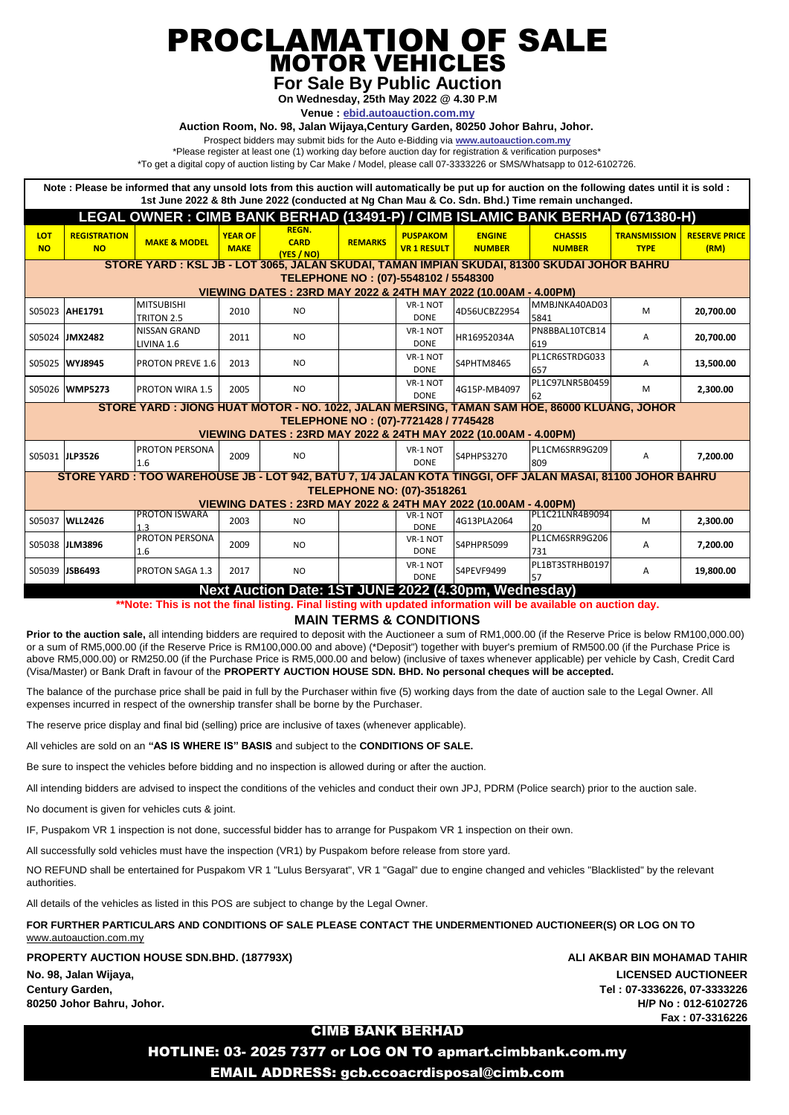PROCLAMATION OF SALE MOTOR VEHICLES

**For Sale By Public Auction**

**On Wednesday, 25th May 2022 @ 4.30 P.M**

**Venue : ebid.autoauction.com.my**

**Auction Room, No. 98, Jalan Wijaya,Century Garden, 80250 Johor Bahru, Johor.** 

Prospect bidders may submit bids for the Auto e-Bidding via **www.autoauction.com.my**

\*Please register at least one (1) working day before auction day for registration & verification purposes\*

\*To get a digital copy of auction listing by Car Make / Model, please call 07-3333226 or SMS/Whatsapp to 012-6102726.

| Note: Please be informed that any unsold lots from this auction will automatically be put up for auction on the following dates until it is sold:<br>1st June 2022 & 8th June 2022 (conducted at Ng Chan Mau & Co. Sdn. Bhd.) Time remain unchanged. |                                  |                                   |                               |                                                                 |                |                                       |                                |                                 |                                    |                              |  |
|------------------------------------------------------------------------------------------------------------------------------------------------------------------------------------------------------------------------------------------------------|----------------------------------|-----------------------------------|-------------------------------|-----------------------------------------------------------------|----------------|---------------------------------------|--------------------------------|---------------------------------|------------------------------------|------------------------------|--|
| LEGAL OWNER: CIMB BANK BERHAD (13491-P) / CIMB ISLAMIC BANK BERHAD (671380-H)                                                                                                                                                                        |                                  |                                   |                               |                                                                 |                |                                       |                                |                                 |                                    |                              |  |
| LOT<br><b>NO</b>                                                                                                                                                                                                                                     | <b>REGISTRATION</b><br><b>NO</b> | <b>MAKE &amp; MODEL</b>           | <b>YEAR OF</b><br><b>MAKE</b> | <b>REGN.</b><br><b>CARD</b><br>(YES / NO)                       | <b>REMARKS</b> | <b>PUSPAKOM</b><br><b>VR 1 RESULT</b> | <b>ENGINE</b><br><b>NUMBER</b> | <b>CHASSIS</b><br><b>NUMBER</b> | <b>TRANSMISSION</b><br><b>TYPE</b> | <b>RESERVE PRICE</b><br>(RM) |  |
| <u>STORE YARD : KSL JB - LOT 3065, JALAN SKUDAI, TAMAN IMPIAN SKUDAI, 81300 SKUDAI JOHOR BAHRU</u>                                                                                                                                                   |                                  |                                   |                               |                                                                 |                |                                       |                                |                                 |                                    |                              |  |
| TELEPHONE NO: (07)-5548102 / 5548300<br>VIEWING DATES: 23RD MAY 2022 & 24TH MAY 2022 (10.00AM - 4.00PM)                                                                                                                                              |                                  |                                   |                               |                                                                 |                |                                       |                                |                                 |                                    |                              |  |
|                                                                                                                                                                                                                                                      | S05023 AHE1791                   | <b>MITSUBISHI</b><br>TRITON 2.5   | 2010                          | <b>NO</b>                                                       |                | VR-1 NOT<br><b>DONE</b>               | 4D56UCBZ2954                   | MMBJNKA40AD03<br>5841           | м                                  | 20.700.00                    |  |
|                                                                                                                                                                                                                                                      | S05024 JMX2482                   | <b>NISSAN GRAND</b><br>LIVINA 1.6 | 2011                          | <b>NO</b>                                                       |                | VR-1 NOT<br><b>DONE</b>               | HR16952034A                    | PN8BBAL10TCB14<br>619           | A                                  | 20,700.00                    |  |
|                                                                                                                                                                                                                                                      | S05025 WYJ8945                   | <b>PROTON PREVE 1.6</b>           | 2013                          | <b>NO</b>                                                       |                | VR-1 NOT<br><b>DONE</b>               | S4PHTM8465                     | PL1CR6STRDG033<br>657           | A                                  | 13,500.00                    |  |
|                                                                                                                                                                                                                                                      | S05026 WMP5273                   | <b>PROTON WIRA 1.5</b>            | 2005                          | N <sub>O</sub>                                                  |                | VR-1 NOT<br><b>DONE</b>               | 4G15P-MB4097                   | PL1C97LNR5B0459<br>62           | м                                  | 2,300.00                     |  |
| STORE YARD : JIONG HUAT MOTOR - NO. 1022, JALAN MERSING, TAMAN SAM HOE, 86000 KLUANG, JOHOR<br>TELEPHONE NO: (07)-7721428 / 7745428                                                                                                                  |                                  |                                   |                               |                                                                 |                |                                       |                                |                                 |                                    |                              |  |
|                                                                                                                                                                                                                                                      |                                  |                                   |                               | VIEWING DATES: 23RD MAY 2022 & 24TH MAY 2022 (10.00AM - 4.00PM) |                |                                       |                                |                                 |                                    |                              |  |
|                                                                                                                                                                                                                                                      | S05031 JLP3526                   | <b>PROTON PERSONA</b><br>1.6      | 2009                          | <b>NO</b>                                                       |                | VR-1 NOT<br><b>DONE</b>               | S4PHPS3270                     | PL1CM6SRR9G209<br>809           | A                                  | 7,200.00                     |  |
| STORE YARD: TOO WAREHOUSE JB - LOT 942, BATU 7, 1/4 JALAN KOTA TINGGI, OFF JALAN MASAI, 81100 JOHOR BAHRU                                                                                                                                            |                                  |                                   |                               |                                                                 |                |                                       |                                |                                 |                                    |                              |  |
| <b>TELEPHONE NO: (07)-3518261</b><br>VIEWING DATES: 23RD MAY 2022 & 24TH MAY 2022 (10.00AM - 4.00PM)                                                                                                                                                 |                                  |                                   |                               |                                                                 |                |                                       |                                |                                 |                                    |                              |  |
|                                                                                                                                                                                                                                                      | S05037 WLL2426                   | <b>PROTON ISWARA</b><br>1.3       | 2003                          | <b>NO</b>                                                       |                | VR-1 NOT<br><b>DONE</b>               | 4G13PLA2064                    | PL1C21LNR4B9094<br>20           | M                                  | 2,300.00                     |  |
|                                                                                                                                                                                                                                                      | S05038 JLM3896                   | <b>PROTON PERSONA</b><br>1.6      | 2009                          | <b>NO</b>                                                       |                | VR-1 NOT<br><b>DONE</b>               | S4PHPR5099                     | PL1CM6SRR9G206<br>731           | Α                                  | 7,200.00                     |  |
|                                                                                                                                                                                                                                                      | S05039 JSB6493                   | <b>PROTON SAGA 1.3</b>            | 2017                          | <b>NO</b>                                                       |                | VR-1 NOT<br><b>DONE</b>               | S4PEVF9499                     | PL1BT3STRHB0197<br>57           | A                                  | 19,800.00                    |  |

**Next Auction Date: 1ST JUNE 2022 (4.30pm, Wednesday)**

**\*\*Note: This is not the final listing. Final listing with updated information will be available on auction day.**

**MAIN TERMS & CONDITIONS**

**Prior to the auction sale,** all intending bidders are required to deposit with the Auctioneer a sum of RM1,000.00 (if the Reserve Price is below RM100,000.00) or a sum of RM5,000.00 (if the Reserve Price is RM100,000.00 and above) (\*Deposit") together with buyer's premium of RM500.00 (if the Purchase Price is above RM5,000.00) or RM250.00 (if the Purchase Price is RM5,000.00 and below) (inclusive of taxes whenever applicable) per vehicle by Cash, Credit Card (Visa/Master) or Bank Draft in favour of the **PROPERTY AUCTION HOUSE SDN. BHD. No personal cheques will be accepted.** 

The balance of the purchase price shall be paid in full by the Purchaser within five (5) working days from the date of auction sale to the Legal Owner. All expenses incurred in respect of the ownership transfer shall be borne by the Purchaser.

The reserve price display and final bid (selling) price are inclusive of taxes (whenever applicable).

All vehicles are sold on an **"AS IS WHERE IS" BASIS** and subject to the **CONDITIONS OF SALE.**

Be sure to inspect the vehicles before bidding and no inspection is allowed during or after the auction.

All intending bidders are advised to inspect the conditions of the vehicles and conduct their own JPJ, PDRM (Police search) prior to the auction sale.

No document is given for vehicles cuts & joint.

IF, Puspakom VR 1 inspection is not done, successful bidder has to arrange for Puspakom VR 1 inspection on their own.

All successfully sold vehicles must have the inspection (VR1) by Puspakom before release from store yard.

NO REFUND shall be entertained for Puspakom VR 1 "Lulus Bersyarat", VR 1 "Gagal" due to engine changed and vehicles "Blacklisted" by the relevant authorities.

All details of the vehicles as listed in this POS are subject to change by the Legal Owner.

**FOR FURTHER PARTICULARS AND CONDITIONS OF SALE PLEASE CONTACT THE UNDERMENTIONED AUCTIONEER(S) OR LOG ON TO**  www.autoauction.com.my

**PROPERTY AUCTION HOUSE SDN.BHD. (187793X) ALI AKBAR BIN MOHAMAD TAHIR No. 98, Jalan Wijaya, LICENSED AUCTIONEER Century Garden, Tel : 07-3336226, 07-3333226**

**80250 Johor Bahru, Johor. H/P No : 012-6102726 Fax : 07-3316226**

# CIMB BANK BERHAD

HOTLINE: 03- 2025 7377 or LOG ON TO apmart.cimbbank.com.my EMAIL ADDRESS: gcb.ccoacrdisposal@cimb.com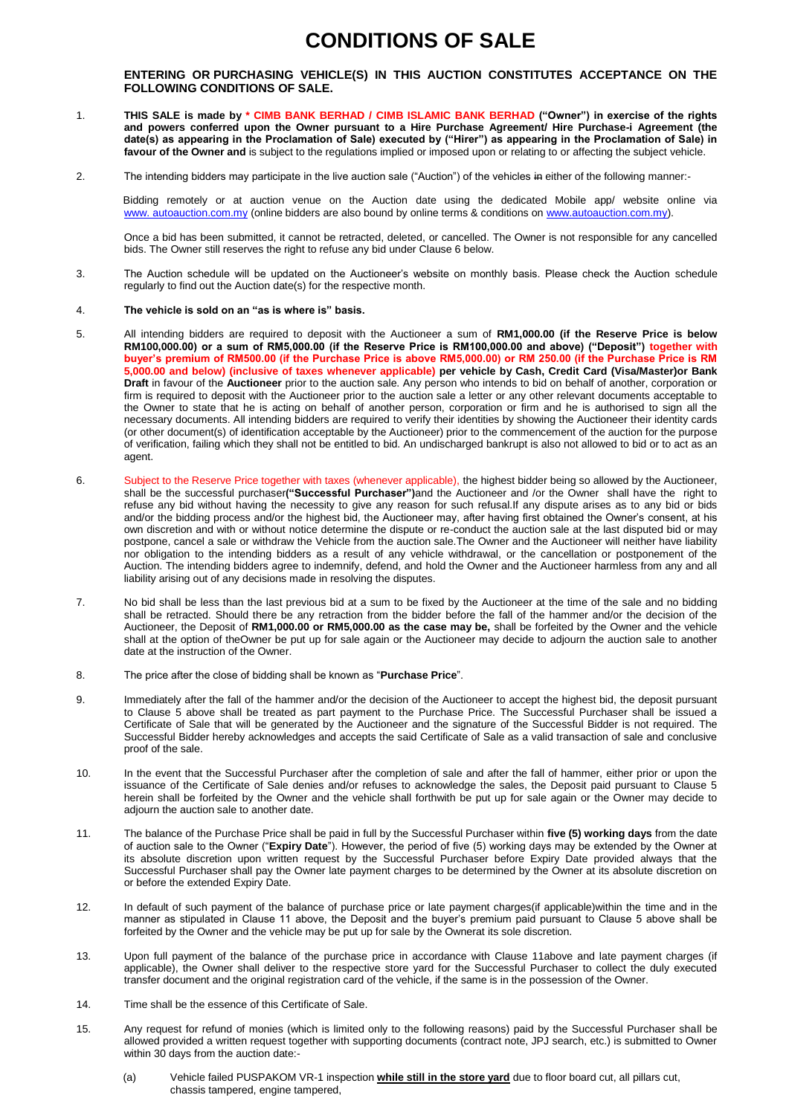# **CONDITIONS OF SALE**

# **ENTERING OR PURCHASING VEHICLE(S) IN THIS AUCTION CONSTITUTES ACCEPTANCE ON THE FOLLOWING CONDITIONS OF SALE.**

- 1. **THIS SALE is made by \* CIMB BANK BERHAD / CIMB ISLAMIC BANK BERHAD ("Owner") in exercise of the rights and powers conferred upon the Owner pursuant to a Hire Purchase Agreement/ Hire Purchase-i Agreement (the date(s) as appearing in the Proclamation of Sale) executed by ("Hirer") as appearing in the Proclamation of Sale) in favour of the Owner and** is subject to the regulations implied or imposed upon or relating to or affecting the subject vehicle.
- 2. The intending bidders may participate in the live auction sale ("Auction") of the vehicles in either of the following manner:-

Bidding remotely or at auction venue on the Auction date using the dedicated Mobile app/ website online via www. autoauction.com.my (online bidders are also bound by online terms & conditions on www.autoauction.com.my).

Once a bid has been submitted, it cannot be retracted, deleted, or cancelled. The Owner is not responsible for any cancelled bids. The Owner still reserves the right to refuse any bid under Clause 6 below.

3. The Auction schedule will be updated on the Auctioneer's website on monthly basis. Please check the Auction schedule regularly to find out the Auction date(s) for the respective month.

#### 4. **The vehicle is sold on an "as is where is" basis.**

- 5. All intending bidders are required to deposit with the Auctioneer a sum of **RM1,000.00 (if the Reserve Price is below RM100,000.00) or a sum of RM5,000.00 (if the Reserve Price is RM100,000.00 and above) ("Deposit") together with buyer's premium of RM500.00 (if the Purchase Price is above RM5,000.00) or RM 250.00 (if the Purchase Price is RM 5,000.00 and below) (inclusive of taxes whenever applicable) per vehicle by Cash, Credit Card (Visa/Master)or Bank Draft** in favour of the **Auctioneer** prior to the auction sale. Any person who intends to bid on behalf of another, corporation or firm is required to deposit with the Auctioneer prior to the auction sale a letter or any other relevant documents acceptable to the Owner to state that he is acting on behalf of another person, corporation or firm and he is authorised to sign all the necessary documents. All intending bidders are required to verify their identities by showing the Auctioneer their identity cards (or other document(s) of identification acceptable by the Auctioneer) prior to the commencement of the auction for the purpose of verification, failing which they shall not be entitled to bid. An undischarged bankrupt is also not allowed to bid or to act as an agent.
- 6. Subject to the Reserve Price together with taxes (whenever applicable), the highest bidder being so allowed by the Auctioneer, shall be the successful purchaser**("Successful Purchaser")**and the Auctioneer and /or the Owner shall have the right to refuse any bid without having the necessity to give any reason for such refusal.If any dispute arises as to any bid or bids and/or the bidding process and/or the highest bid, the Auctioneer may, after having first obtained the Owner's consent, at his own discretion and with or without notice determine the dispute or re-conduct the auction sale at the last disputed bid or may postpone, cancel a sale or withdraw the Vehicle from the auction sale.The Owner and the Auctioneer will neither have liability nor obligation to the intending bidders as a result of any vehicle withdrawal, or the cancellation or postponement of the Auction. The intending bidders agree to indemnify, defend, and hold the Owner and the Auctioneer harmless from any and all liability arising out of any decisions made in resolving the disputes.
- 7. No bid shall be less than the last previous bid at a sum to be fixed by the Auctioneer at the time of the sale and no bidding shall be retracted. Should there be any retraction from the bidder before the fall of the hammer and/or the decision of the Auctioneer, the Deposit of **RM1,000.00 or RM5,000.00 as the case may be,** shall be forfeited by the Owner and the vehicle shall at the option of theOwner be put up for sale again or the Auctioneer may decide to adjourn the auction sale to another date at the instruction of the Owner.
- 8. The price after the close of bidding shall be known as "**Purchase Price**".
- 9. Immediately after the fall of the hammer and/or the decision of the Auctioneer to accept the highest bid, the deposit pursuant to Clause 5 above shall be treated as part payment to the Purchase Price. The Successful Purchaser shall be issued a Certificate of Sale that will be generated by the Auctioneer and the signature of the Successful Bidder is not required. The Successful Bidder hereby acknowledges and accepts the said Certificate of Sale as a valid transaction of sale and conclusive proof of the sale.
- 10. In the event that the Successful Purchaser after the completion of sale and after the fall of hammer, either prior or upon the issuance of the Certificate of Sale denies and/or refuses to acknowledge the sales, the Deposit paid pursuant to Clause 5 herein shall be forfeited by the Owner and the vehicle shall forthwith be put up for sale again or the Owner may decide to adjourn the auction sale to another date.
- 11. The balance of the Purchase Price shall be paid in full by the Successful Purchaser within **five (5) working days** from the date of auction sale to the Owner ("**Expiry Date**"). However, the period of five (5) working days may be extended by the Owner at its absolute discretion upon written request by the Successful Purchaser before Expiry Date provided always that the Successful Purchaser shall pay the Owner late payment charges to be determined by the Owner at its absolute discretion on or before the extended Expiry Date.
- 12. In default of such payment of the balance of purchase price or late payment charges(if applicable)within the time and in the manner as stipulated in Clause 11 above, the Deposit and the buyer's premium paid pursuant to Clause 5 above shall be forfeited by the Owner and the vehicle may be put up for sale by the Ownerat its sole discretion.
- 13. Upon full payment of the balance of the purchase price in accordance with Clause 11above and late payment charges (if applicable), the Owner shall deliver to the respective store yard for the Successful Purchaser to collect the duly executed transfer document and the original registration card of the vehicle, if the same is in the possession of the Owner.
- 14. Time shall be the essence of this Certificate of Sale.
- 15. Any request for refund of monies (which is limited only to the following reasons) paid by the Successful Purchaser shall be allowed provided a written request together with supporting documents (contract note, JPJ search, etc.) is submitted to Owner within 30 days from the auction date:
	- (a) Vehicle failed PUSPAKOM VR-1 inspection **while still in the store yard** due to floor board cut, all pillars cut, chassis tampered, engine tampered,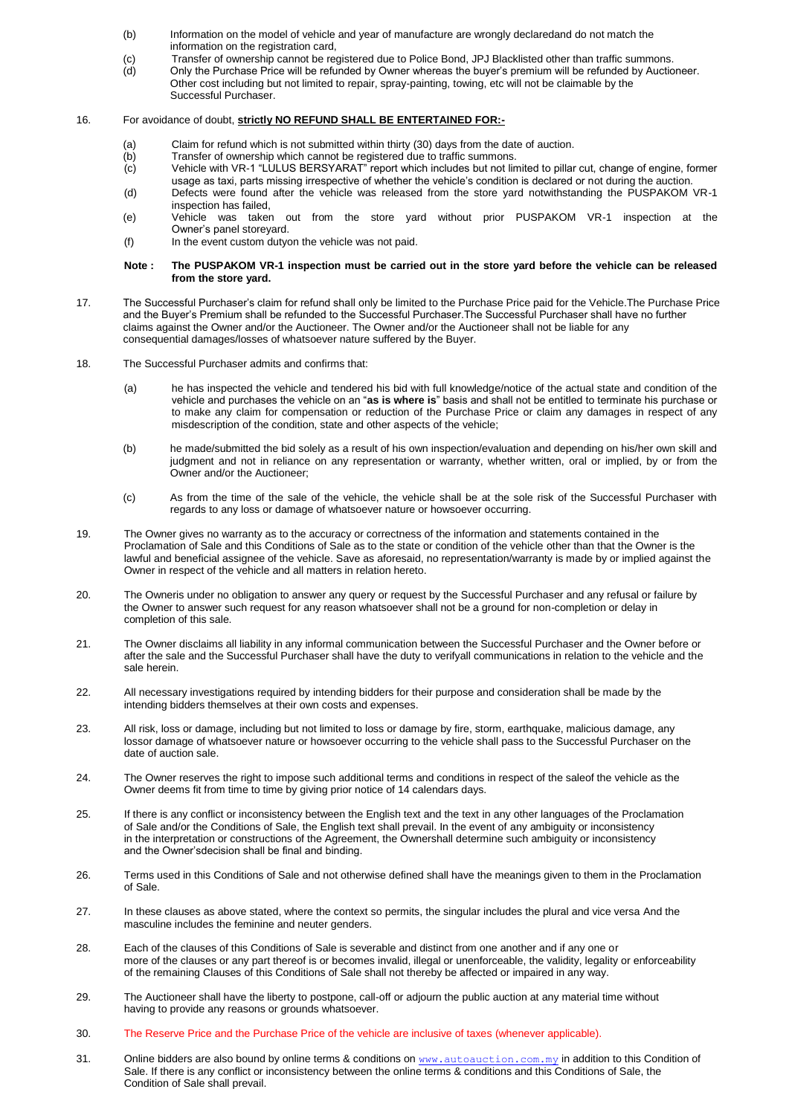- (b) Information on the model of vehicle and year of manufacture are wrongly declaredand do not match the information on the registration card,
- (c) Transfer of ownership cannot be registered due to Police Bond, JPJ Blacklisted other than traffic summons.<br>(d) Only the Purchase Price will be refunded by Owner whereas the buver's premium will be refunded by Auctio
- Only the Purchase Price will be refunded by Owner whereas the buyer's premium will be refunded by Auctioneer. Other cost including but not limited to repair, spray-painting, towing, etc will not be claimable by the Successful Purchaser.

#### 16. For avoidance of doubt, **strictly NO REFUND SHALL BE ENTERTAINED FOR:-**

- (a) Claim for refund which is not submitted within thirty (30) days from the date of auction.<br>(b) Transfer of ownership which cannot be registered due to traffic summons.
- Transfer of ownership which cannot be registered due to traffic summons.
- (c) Vehicle with VR-1 "LULUS BERSYARAT" report which includes but not limited to pillar cut, change of engine, former usage as taxi, parts missing irrespective of whether the vehicle's condition is declared or not during the auction.
- (d) Defects were found after the vehicle was released from the store yard notwithstanding the PUSPAKOM VR-1 inspection has failed,
- (e) Vehicle was taken out from the store yard without prior PUSPAKOM VR-1 inspection at the Owner's panel storeyard.
- (f) In the event custom dutyon the vehicle was not paid.

#### **Note : The PUSPAKOM VR-1 inspection must be carried out in the store yard before the vehicle can be released from the store yard.**

- 17. The Successful Purchaser's claim for refund shall only be limited to the Purchase Price paid for the Vehicle.The Purchase Price and the Buyer's Premium shall be refunded to the Successful Purchaser.The Successful Purchaser shall have no further claims against the Owner and/or the Auctioneer. The Owner and/or the Auctioneer shall not be liable for any consequential damages/losses of whatsoever nature suffered by the Buyer.
- 18. The Successful Purchaser admits and confirms that:
	- (a) he has inspected the vehicle and tendered his bid with full knowledge/notice of the actual state and condition of the vehicle and purchases the vehicle on an "**as is where is**" basis and shall not be entitled to terminate his purchase or to make any claim for compensation or reduction of the Purchase Price or claim any damages in respect of any misdescription of the condition, state and other aspects of the vehicle;
	- (b) he made/submitted the bid solely as a result of his own inspection/evaluation and depending on his/her own skill and judgment and not in reliance on any representation or warranty, whether written, oral or implied, by or from the Owner and/or the Auctioneer;
	- (c) As from the time of the sale of the vehicle, the vehicle shall be at the sole risk of the Successful Purchaser with regards to any loss or damage of whatsoever nature or howsoever occurring.
- 19. The Owner gives no warranty as to the accuracy or correctness of the information and statements contained in the Proclamation of Sale and this Conditions of Sale as to the state or condition of the vehicle other than that the Owner is the lawful and beneficial assignee of the vehicle. Save as aforesaid, no representation/warranty is made by or implied against the Owner in respect of the vehicle and all matters in relation hereto.
- 20. The Owneris under no obligation to answer any query or request by the Successful Purchaser and any refusal or failure by the Owner to answer such request for any reason whatsoever shall not be a ground for non-completion or delay in completion of this sale.
- 21. The Owner disclaims all liability in any informal communication between the Successful Purchaser and the Owner before or after the sale and the Successful Purchaser shall have the duty to verifyall communications in relation to the vehicle and the sale herein.
- 22. All necessary investigations required by intending bidders for their purpose and consideration shall be made by the intending bidders themselves at their own costs and expenses.
- 23. All risk, loss or damage, including but not limited to loss or damage by fire, storm, earthquake, malicious damage, any lossor damage of whatsoever nature or howsoever occurring to the vehicle shall pass to the Successful Purchaser on the date of auction sale.
- 24. The Owner reserves the right to impose such additional terms and conditions in respect of the saleof the vehicle as the Owner deems fit from time to time by giving prior notice of 14 calendars days.
- 25. If there is any conflict or inconsistency between the English text and the text in any other languages of the Proclamation of Sale and/or the Conditions of Sale, the English text shall prevail. In the event of any ambiguity or inconsistency in the interpretation or constructions of the Agreement, the Ownershall determine such ambiguity or inconsistency and the Owner'sdecision shall be final and binding.
- 26. Terms used in this Conditions of Sale and not otherwise defined shall have the meanings given to them in the Proclamation of Sale.
- 27. In these clauses as above stated, where the context so permits, the singular includes the plural and vice versa And the masculine includes the feminine and neuter genders.
- 28. Each of the clauses of this Conditions of Sale is severable and distinct from one another and if any one or more of the clauses or any part thereof is or becomes invalid, illegal or unenforceable, the validity, legality or enforceability of the remaining Clauses of this Conditions of Sale shall not thereby be affected or impaired in any way.
- 29. The Auctioneer shall have the liberty to postpone, call-off or adjourn the public auction at any material time without having to provide any reasons or grounds whatsoever.
- 30. The Reserve Price and the Purchase Price of the vehicle are inclusive of taxes (whenever applicable).
- 31. Online bidders are also bound by online terms & conditions on [www.autoauction.com.my](http://www.ngchanmau.com/) in addition to this Condition of Sale. If there is any conflict or inconsistency between the online terms & conditions and this Conditions of Sale, the Condition of Sale shall prevail.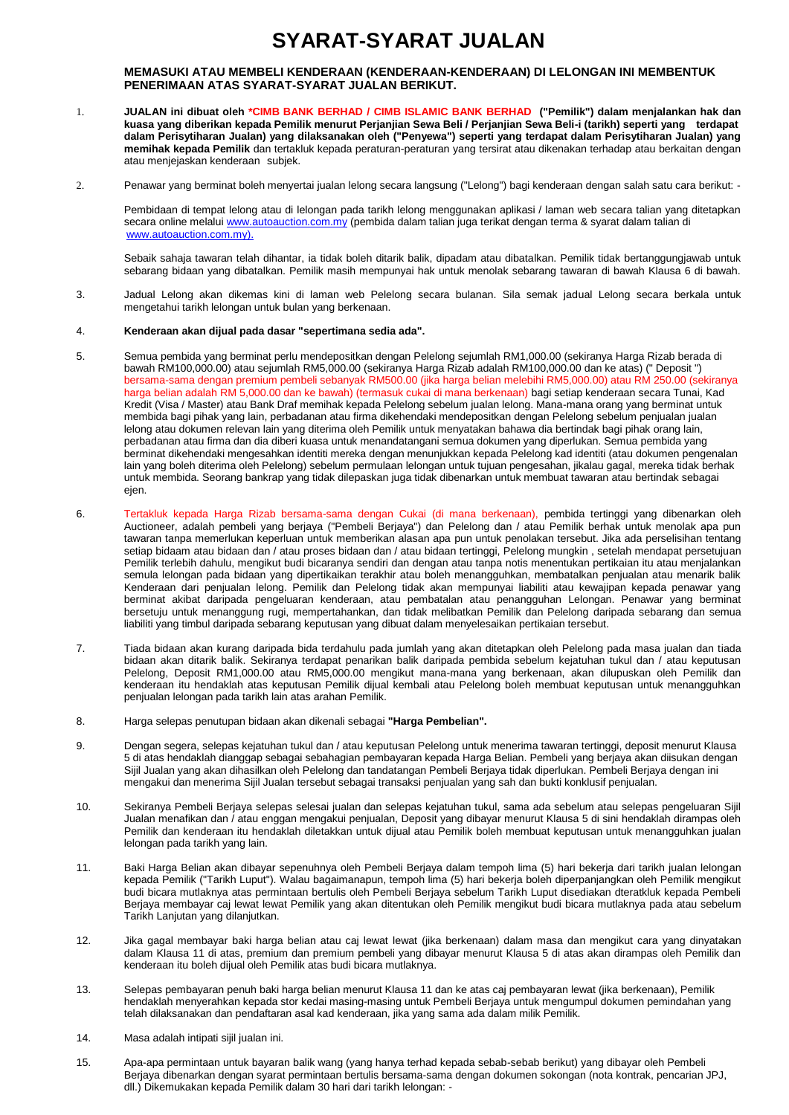# **SYARAT-SYARAT JUALAN**

### **MEMASUKI ATAU MEMBELI KENDERAAN (KENDERAAN-KENDERAAN) DI LELONGAN INI MEMBENTUK PENERIMAAN ATAS SYARAT-SYARAT JUALAN BERIKUT.**

- 1. **JUALAN ini dibuat oleh \*CIMB BANK BERHAD / CIMB ISLAMIC BANK BERHAD ("Pemilik") dalam menjalankan hak dan kuasa yang diberikan kepada Pemilik menurut Perjanjian Sewa Beli / Perjanjian Sewa Beli-i (tarikh) seperti yang terdapat dalam Perisytiharan Jualan) yang dilaksanakan oleh ("Penyewa") seperti yang terdapat dalam Perisytiharan Jualan) yang memihak kepada Pemilik** dan tertakluk kepada peraturan-peraturan yang tersirat atau dikenakan terhadap atau berkaitan dengan atau menjejaskan kenderaan subjek.
- 2. Penawar yang berminat boleh menyertai jualan lelong secara langsung ("Lelong") bagi kenderaan dengan salah satu cara berikut: -

Pembidaan di tempat lelong atau di lelongan pada tarikh lelong menggunakan aplikasi / laman web secara talian yang ditetapkan secara online melalui www.autoauction.com.my (pembida dalam talian juga terikat dengan terma & syarat dalam talian di www.autoauction.com.my).

Sebaik sahaja tawaran telah dihantar, ia tidak boleh ditarik balik, dipadam atau dibatalkan. Pemilik tidak bertanggungjawab untuk sebarang bidaan yang dibatalkan. Pemilik masih mempunyai hak untuk menolak sebarang tawaran di bawah Klausa 6 di bawah.

3. Jadual Lelong akan dikemas kini di laman web Pelelong secara bulanan. Sila semak jadual Lelong secara berkala untuk mengetahui tarikh lelongan untuk bulan yang berkenaan.

#### 4. **Kenderaan akan dijual pada dasar "sepertimana sedia ada".**

- 5. Semua pembida yang berminat perlu mendepositkan dengan Pelelong sejumlah RM1,000.00 (sekiranya Harga Rizab berada di bawah RM100,000.00) atau sejumlah RM5,000.00 (sekiranya Harga Rizab adalah RM100,000.00 dan ke atas) (" Deposit ") bersama-sama dengan premium pembeli sebanyak RM500.00 (jika harga belian melebihi RM5,000.00) atau RM 250.00 (sekiranya harga belian adalah RM 5,000.00 dan ke bawah) (termasuk cukai di mana berkenaan) bagi setiap kenderaan secara Tunai, Kad Kredit (Visa / Master) atau Bank Draf memihak kepada Pelelong sebelum jualan lelong. Mana-mana orang yang berminat untuk membida bagi pihak yang lain, perbadanan atau firma dikehendaki mendepositkan dengan Pelelong sebelum penjualan jualan lelong atau dokumen relevan lain yang diterima oleh Pemilik untuk menyatakan bahawa dia bertindak bagi pihak orang lain, perbadanan atau firma dan dia diberi kuasa untuk menandatangani semua dokumen yang diperlukan. Semua pembida yang berminat dikehendaki mengesahkan identiti mereka dengan menunjukkan kepada Pelelong kad identiti (atau dokumen pengenalan lain yang boleh diterima oleh Pelelong) sebelum permulaan lelongan untuk tujuan pengesahan, jikalau gagal, mereka tidak berhak untuk membida. Seorang bankrap yang tidak dilepaskan juga tidak dibenarkan untuk membuat tawaran atau bertindak sebagai ejen.
- 6. Tertakluk kepada Harga Rizab bersama-sama dengan Cukai (di mana berkenaan), pembida tertinggi yang dibenarkan oleh Auctioneer, adalah pembeli yang berjaya ("Pembeli Berjaya") dan Pelelong dan / atau Pemilik berhak untuk menolak apa pun tawaran tanpa memerlukan keperluan untuk memberikan alasan apa pun untuk penolakan tersebut. Jika ada perselisihan tentang setiap bidaam atau bidaan dan / atau proses bidaan dan / atau bidaan tertinggi, Pelelong mungkin , setelah mendapat persetujuan Pemilik terlebih dahulu, mengikut budi bicaranya sendiri dan dengan atau tanpa notis menentukan pertikaian itu atau menjalankan semula lelongan pada bidaan yang dipertikaikan terakhir atau boleh menangguhkan, membatalkan penjualan atau menarik balik Kenderaan dari penjualan lelong. Pemilik dan Pelelong tidak akan mempunyai liabiliti atau kewajipan kepada penawar yang berminat akibat daripada pengeluaran kenderaan, atau pembatalan atau penangguhan Lelongan. Penawar yang berminat bersetuju untuk menanggung rugi, mempertahankan, dan tidak melibatkan Pemilik dan Pelelong daripada sebarang dan semua liabiliti yang timbul daripada sebarang keputusan yang dibuat dalam menyelesaikan pertikaian tersebut.
- 7. Tiada bidaan akan kurang daripada bida terdahulu pada jumlah yang akan ditetapkan oleh Pelelong pada masa jualan dan tiada bidaan akan ditarik balik. Sekiranya terdapat penarikan balik daripada pembida sebelum kejatuhan tukul dan / atau keputusan Pelelong, Deposit RM1,000.00 atau RM5,000.00 mengikut mana-mana yang berkenaan, akan dilupuskan oleh Pemilik dan kenderaan itu hendaklah atas keputusan Pemilik dijual kembali atau Pelelong boleh membuat keputusan untuk menangguhkan penjualan lelongan pada tarikh lain atas arahan Pemilik.
- 8. Harga selepas penutupan bidaan akan dikenali sebagai **"Harga Pembelian".**
- 9. Dengan segera, selepas kejatuhan tukul dan / atau keputusan Pelelong untuk menerima tawaran tertinggi, deposit menurut Klausa 5 di atas hendaklah dianggap sebagai sebahagian pembayaran kepada Harga Belian. Pembeli yang berjaya akan diisukan dengan Sijil Jualan yang akan dihasilkan oleh Pelelong dan tandatangan Pembeli Berjaya tidak diperlukan. Pembeli Berjaya dengan ini mengakui dan menerima Sijil Jualan tersebut sebagai transaksi penjualan yang sah dan bukti konklusif penjualan.
- 10. Sekiranya Pembeli Berjaya selepas selesai jualan dan selepas kejatuhan tukul, sama ada sebelum atau selepas pengeluaran Sijil Jualan menafikan dan / atau enggan mengakui penjualan, Deposit yang dibayar menurut Klausa 5 di sini hendaklah dirampas oleh Pemilik dan kenderaan itu hendaklah diletakkan untuk dijual atau Pemilik boleh membuat keputusan untuk menangguhkan jualan lelongan pada tarikh yang lain.
- 11. Baki Harga Belian akan dibayar sepenuhnya oleh Pembeli Berjaya dalam tempoh lima (5) hari bekerja dari tarikh jualan lelongan kepada Pemilik ("Tarikh Luput"). Walau bagaimanapun, tempoh lima (5) hari bekerja boleh diperpanjangkan oleh Pemilik mengikut budi bicara mutlaknya atas permintaan bertulis oleh Pembeli Berjaya sebelum Tarikh Luput disediakan dteratkluk kepada Pembeli Berjaya membayar caj lewat lewat Pemilik yang akan ditentukan oleh Pemilik mengikut budi bicara mutlaknya pada atau sebelum Tarikh Lanjutan yang dilanjutkan.
- 12. Jika gagal membayar baki harga belian atau caj lewat lewat (jika berkenaan) dalam masa dan mengikut cara yang dinyatakan dalam Klausa 11 di atas, premium dan premium pembeli yang dibayar menurut Klausa 5 di atas akan dirampas oleh Pemilik dan kenderaan itu boleh dijual oleh Pemilik atas budi bicara mutlaknya.
- 13. Selepas pembayaran penuh baki harga belian menurut Klausa 11 dan ke atas caj pembayaran lewat (jika berkenaan), Pemilik hendaklah menyerahkan kepada stor kedai masing-masing untuk Pembeli Berjaya untuk mengumpul dokumen pemindahan yang telah dilaksanakan dan pendaftaran asal kad kenderaan, jika yang sama ada dalam milik Pemilik.
- 14. Masa adalah intipati sijil jualan ini.
- 15. Apa-apa permintaan untuk bayaran balik wang (yang hanya terhad kepada sebab-sebab berikut) yang dibayar oleh Pembeli Berjaya dibenarkan dengan syarat permintaan bertulis bersama-sama dengan dokumen sokongan (nota kontrak, pencarian JPJ, dll.) Dikemukakan kepada Pemilik dalam 30 hari dari tarikh lelongan: -